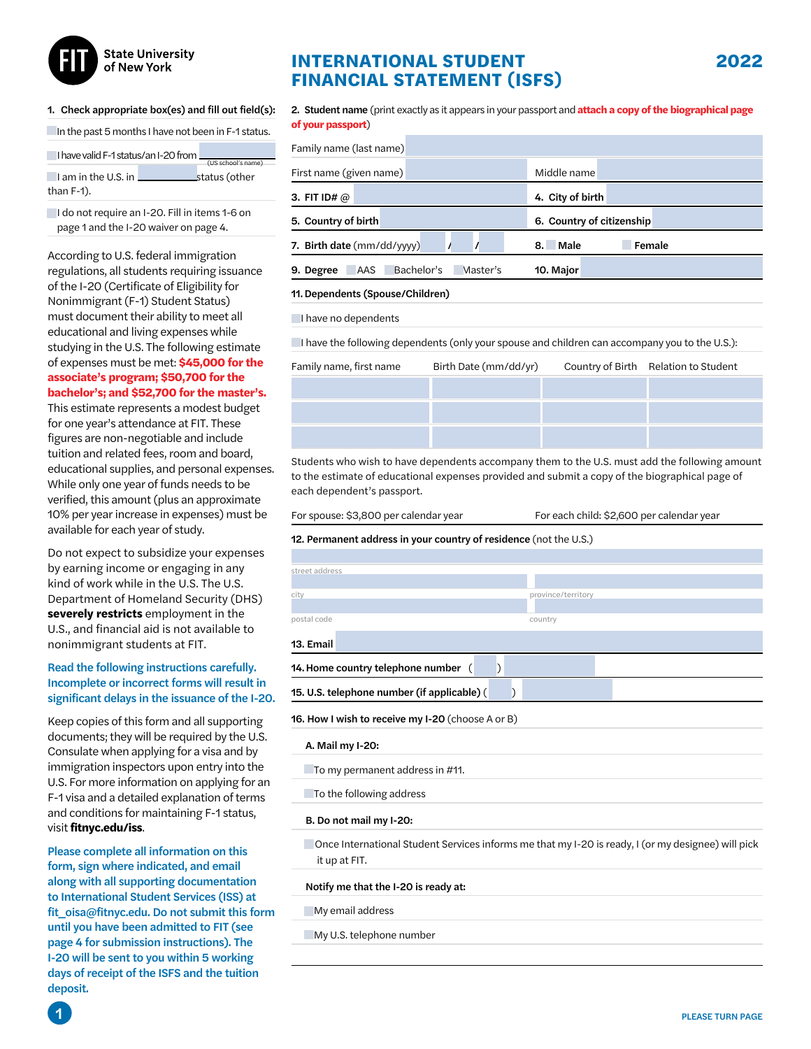

#### 1. Check appropriate box(es) and fill out field(s):

In the past 5 months I have not been in F-1 status.

| I have valid F-1 status/an I-20 from |  |                    |
|--------------------------------------|--|--------------------|
|                                      |  | (US school's name) |
| I am in the U.S. in                  |  | status (other      |
| than $F-1$ ).                        |  |                    |

I do not require an I-20. Fill in items 1-6 on page 1 and the I-20 waiver on page 4.

According to U.S. federal immigration regulations, all students requiring issuance of the I-20 (Certificate of Eligibility for Nonimmigrant (F-1) Student Status) must document their ability to meet all educational and living expenses while studying in the U.S. The following estimate of expenses must be met: **\$45,000 for the associate's program; \$50,700 for the bachelor's; and \$52,700 for the master's.** 

This estimate represents a modest budget for one year's attendance at FIT. These figures are non-negotiable and include tuition and related fees, room and board, educational supplies, and personal expenses. While only one year of funds needs to be verified, this amount (plus an approximate 10% per year increase in expenses) must be available for each year of study.

Do not expect to subsidize your expenses by earning income or engaging in any kind of work while in the U.S. The U.S. Department of Homeland Security (DHS) **severely restricts** employment in the U.S., and financial aid is not available to nonimmigrant students at FIT.

### Read the following instructions carefully. Incomplete or incorrect forms will result in significant delays in the issuance of the I-20.

Keep copies of this form and all supporting documents; they will be required by the U.S. Consulate when applying for a visa and by immigration inspectors upon entry into the U.S. For more information on applying for an F-1 visa and a detailed explanation of terms and conditions for maintaining F-1 status, visit **fitnyc.edu/iss**.

Please complete all information on this form, sign where indicated, and email along with all supporting documentation to International Student Services (ISS) at fit\_oisa@fitnyc.edu. Do not submit this form until you have been admitted to FIT (see page 4 for submission instructions). The I-20 will be sent to you within 5 working days of receipt of the ISFS and the tuition deposit.

# **INTERNATIONAL STUDENT FINANCIAL STATEMENT (ISFS)**

2. Student name (print exactly as it appears in your passport and **attach a copy of the biographical page of your passport**)

| Family name (last name)                           |                             |
|---------------------------------------------------|-----------------------------|
| First name (given name)                           | Middle name                 |
| 3. FIT ID# $@$                                    | 4. City of birth            |
| 5. Country of birth                               | 6. Country of citizenship   |
| 7. Birth date (mm/dd/yyyy)                        | <b>Male</b><br>Female<br>8. |
| Bachelor's<br><b>AAS</b><br>Master's<br>9. Degree | 10. Major                   |

#### 11.Dependents (Spouse/Children)

I have no dependents

I have the following dependents (only your spouse and children can accompany you to the U.S.):

| Family name, first name | Birth Date (mm/dd/yr) | Country of Birth Relation to Student |
|-------------------------|-----------------------|--------------------------------------|
|                         |                       |                                      |
|                         |                       |                                      |
|                         |                       |                                      |

Students who wish to have dependents accompany them to the U.S. must add the following amount to the estimate of educational expenses provided and submit a copy of the biographical page of each dependent's passport.

| For spouse: \$3,800 per calendar year |  |
|---------------------------------------|--|
|---------------------------------------|--|

12. Permanent address in your country of residence (not the U.S.)

For each child: \$2,600 per calendar year

To the following address

#### B. Do not mail my I-20:

 Once International Student Services informs me that my I-20 is ready, I (or my designee) will pick it up at FIT.

#### Notify me that the I-20 is ready at:

**My email address** 

My U.S. telephone number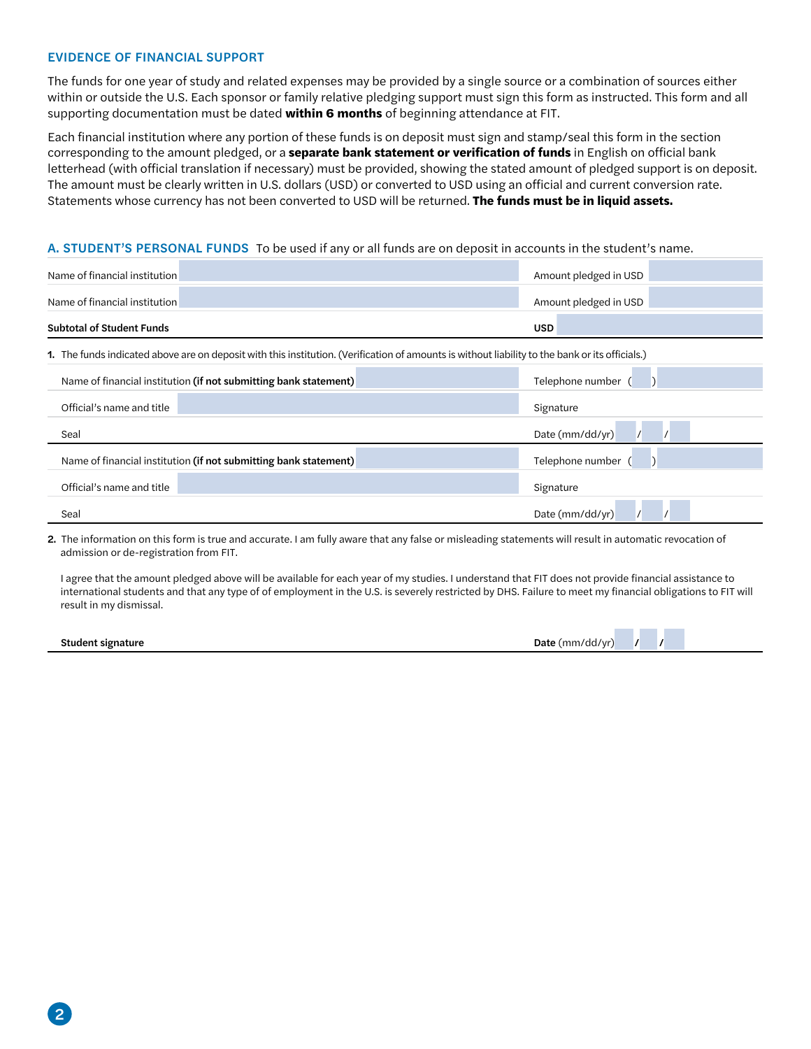# EVIDENCE OF FINANCIAL SUPPORT

The funds for one year of study and related expenses may be provided by a single source or a combination of sources either within or outside the U.S. Each sponsor or family relative pledging support must sign this form as instructed. This form and all supporting documentation must be dated **within 6 months** of beginning attendance at FIT.

Each financial institution where any portion of these funds is on deposit must sign and stamp/seal this form in the section corresponding to the amount pledged, or a **separate bank statement or verification of funds** in English on official bank letterhead (with official translation if necessary) must be provided, showing the stated amount of pledged support is on deposit. The amount must be clearly written in U.S. dollars (USD) or converted to USD using an official and current conversion rate. Statements whose currency has not been converted to USD will be returned. **The funds must be in liquid assets.**

# A. STUDENT'S PERSONAL FUNDS To be used if any or all funds are on deposit in accounts in the student's name.

| Name of financial institution    |                                                                                                                                                 | Amount pledged in USD |
|----------------------------------|-------------------------------------------------------------------------------------------------------------------------------------------------|-----------------------|
| Name of financial institution    |                                                                                                                                                 | Amount pledged in USD |
| <b>Subtotal of Student Funds</b> |                                                                                                                                                 | <b>USD</b>            |
|                                  | 1. The funds indicated above are on deposit with this institution. (Verification of amounts is without liability to the bank or its officials.) |                       |
|                                  | Name of financial institution (if not submitting bank statement)                                                                                | Telephone number      |
| Official's name and title        |                                                                                                                                                 | Signature             |
| Seal                             |                                                                                                                                                 | Date (mm/dd/yr)       |
|                                  | Name of financial institution (if not submitting bank statement)                                                                                | Telephone number      |
| Official's name and title        |                                                                                                                                                 | Signature             |
| Seal                             |                                                                                                                                                 | Date (mm/dd/yr)       |

2. The information on this form is true and accurate. I am fully aware that any false or misleading statements will result in automatic revocation of admission or de-registration from FIT.

I agree that the amount pledged above will be available for each year of my studies. I understand that FIT does not provide financial assistance to international students and that any type of of employment in the U.S. is severely restricted by DHS. Failure to meet my financial obligations to FIT will result in my dismissal.

Student signature Date (mm/dd/yr) / **Date (mm/dd/yr)** / **Date (mm/dd/yr)** / **Date (mm/dd/yr)** / **Date (mm/dd/yr)** / **Date (mm/dd/yr)** / **Date (mm/dd/yr)** / **Date (mm/dd/yr)** / **Date (mm/dd/yr)** / **Date (mm/dd/yr)** / **Date**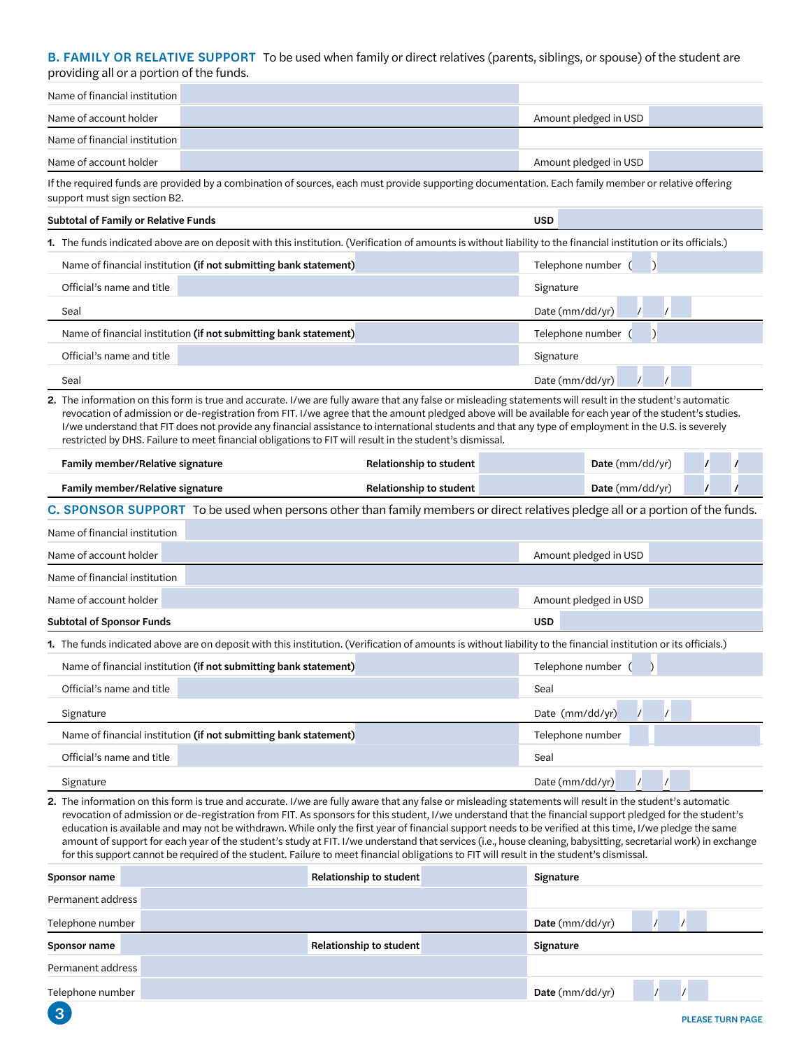# B. FAMILY OR RELATIVE SUPPORT To be used when family or direct relatives (parents, siblings, or spouse) of the student are providing all or a portion of the funds.

|                               | If the required funds are provided by a combination of courses, each must provide supporting decumentation. Each family member or relative effering |                       |
|-------------------------------|-----------------------------------------------------------------------------------------------------------------------------------------------------|-----------------------|
| Name of account holder        |                                                                                                                                                     | Amount pledged in USD |
| Name of financial institution |                                                                                                                                                     |                       |
| Name of account holder        |                                                                                                                                                     | Amount pledged in USD |
| Name of financial institution |                                                                                                                                                     |                       |

If the required funds are provided by a combination of sources, each must provide supporting documentation. Each family member or relative offering support must sign section B2.

#### Subtotal of Family or Relative Funds USD

1. The funds indicated above are on deposit with this institution. (Verification of amounts is without liability to the financial institution or its officials.)

| Name of financial institution (if not submitting bank statement) | Telephone number    |
|------------------------------------------------------------------|---------------------|
| Official's name and title                                        | Signature           |
| Seal                                                             | Date ( $mm/dd/yr$ ) |
|                                                                  |                     |
| Name of financial institution (if not submitting bank statement) | Telephone number    |
| Official's name and title                                        | Signature           |

2. The information on this form is true and accurate. I/we are fully aware that any false or misleading statements will result in the student's automatic revocation of admission or de-registration from FIT. I/we agree that the amount pledged above will be available for each year of the student's studies. I/we understand that FIT does not provide any financial assistance to international students and that any type of employment in the U.S. is severely restricted by DHS. Failure to meet financial obligations to FIT will result in the student's dismissal.

| <b>Family member/Relative signature</b> | Relationship to student        | <b>Date</b> (mm/dd/yr) |  |
|-----------------------------------------|--------------------------------|------------------------|--|
| <b>Family member/Relative signature</b> | <b>Relationship to student</b> | Date (mm/dd/yr)        |  |

C. SPONSOR SUPPORT To be used when persons other than family members or direct relatives pledge all or a portion of the funds.

| Name of financial institution                                                                                                                                    |                       |
|------------------------------------------------------------------------------------------------------------------------------------------------------------------|-----------------------|
| Name of account holder                                                                                                                                           | Amount pledged in USD |
| Name of financial institution                                                                                                                                    |                       |
| Name of account holder                                                                                                                                           | Amount pledged in USD |
| <b>Subtotal of Sponsor Funds</b>                                                                                                                                 | <b>USD</b>            |
| 1. The funds indicated above are on deposit with this institution. (Verification of amounts is without liability to the financial institution or its officials.) |                       |
| Name of financial institution (if not submitting bank statement)                                                                                                 | Telephone number      |
| Official's name and title                                                                                                                                        | Seal                  |

| Signature                                                        | Date (mm/dd/yr)  |
|------------------------------------------------------------------|------------------|
| Name of financial institution (if not submitting bank statement) | Telephone number |
| Official's name and title                                        | Seal             |
| Signature                                                        | Date (mm/dd/yr)  |

2. The information on this form is true and accurate. I/we are fully aware that any false or misleading statements will result in the student's automatic revocation of admission or de-registration from FIT. As sponsors for this student, I/we understand that the financial support pledged for the student's education is available and may not be withdrawn. While only the first year of financial support needs to be verified at this time, I/we pledge the same amount of support for each year of the student's study at FIT. I/we understand that services (i.e., house cleaning, babysitting, secretarial work) in exchange for this support cannot be required of the student. Failure to meet financial obligations to FIT will result in the student's dismissal.

| Sponsor name      | Relationship to student | Signature               |
|-------------------|-------------------------|-------------------------|
| Permanent address |                         |                         |
| Telephone number  |                         | Date $(mm/dd/yr)$       |
| Sponsor name      | Relationship to student | Signature               |
| Permanent address |                         |                         |
| Telephone number  |                         | Date $(mm/dd/yr)$       |
| (3                |                         | <b>PLEASE TURN PAGE</b> |